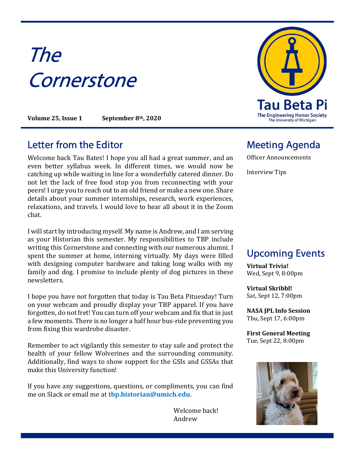# The **Cornerstone**

Volume 25, Issue 1 September 8th, 2020

#### Letter from the Editor **Meeting Agenda**

Welcome back Tau Bates! I hope you all had a great summer, and an even better syllabus week. In different times, we would now be catching up while waiting in line for a wonderfully catered dinner. Do not let the lack of free food stop you from reconnecting with your peers! I urge you to reach out to an old friend or make a new one. Share details about your summer internships, research, work experiences, relaxations, and travels. I would love to hear all about it in the Zoom chat.

I will start by introducing myself. My name is Andrew, and I am serving as your Historian this semester. My responsibilities to TBP include writing this Cornerstone and connecting with our numerous alumni. I spent the summer at home, interning virtually. My days were filled with designing computer hardware and taking long walks with my family and dog. I promise to include plenty of dog pictures in these newsletters.

I hope you have not forgotten that today is Tau Beta Pituesday! Turn on your webcam and proudly display your TBP apparel. If you have forgotten, do not fret! You can turn off your webcam and fix that in just a few moments. There is no longer a half hour bus-ride preventing you from fixing this wardrobe disaster.

Remember to act vigilantly this semester to stay safe and protect the health of your fellow Wolverines and the surrounding community. Additionally, find ways to show support for the GSIs and GSSAs that make this University function!

If you have any suggestions, questions, or compliments, you can find me on Slack or email me at tbp.historian@umich.edu.

> Welcome back! Andrew



Officer Announcements

Interview Tips

### Upcoming Events

Virtual Trivia! Wed, Sept 9, 8:00pm

Virtual Skribbl! Sat, Sept 12, 7:00pm

NASA JPL Info Session Thu, Sept 17, 6:00pm

First General Meeting Tue, Sept 22, 8:00pm